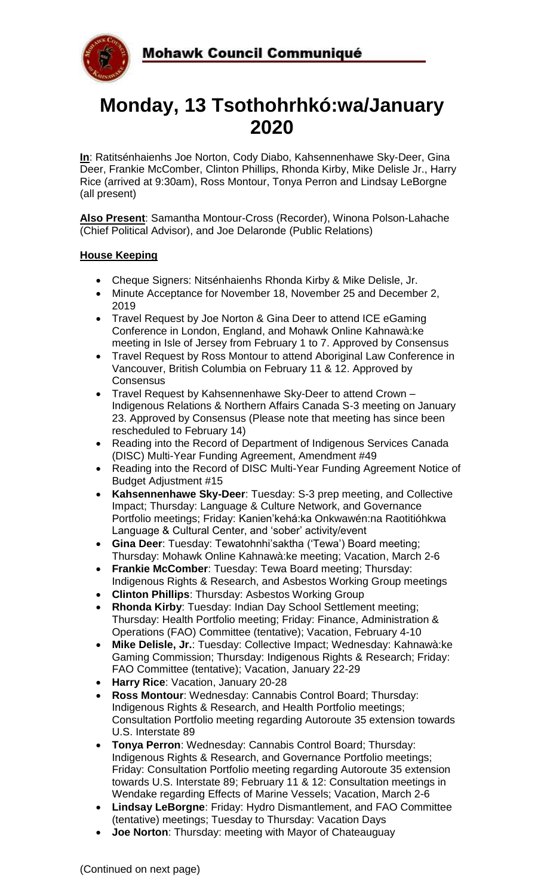

# **Monday, 13 Tsothohrhkó:wa/January 2020**

**In**: Ratitsénhaienhs Joe Norton, Cody Diabo, Kahsennenhawe Sky-Deer, Gina Deer, Frankie McComber, Clinton Phillips, Rhonda Kirby, Mike Delisle Jr., Harry Rice (arrived at 9:30am), Ross Montour, Tonya Perron and Lindsay LeBorgne (all present)

**Also Present**: Samantha Montour-Cross (Recorder), Winona Polson-Lahache (Chief Political Advisor), and Joe Delaronde (Public Relations)

## **House Keeping**

- Cheque Signers: Nitsénhaienhs Rhonda Kirby & Mike Delisle, Jr.
- Minute Acceptance for November 18, November 25 and December 2, 2019
- Travel Request by Joe Norton & Gina Deer to attend ICE eGaming Conference in London, England, and Mohawk Online Kahnawà:ke meeting in Isle of Jersey from February 1 to 7. Approved by Consensus
- Travel Request by Ross Montour to attend Aboriginal Law Conference in Vancouver, British Columbia on February 11 & 12. Approved by Consensus
- Travel Request by Kahsennenhawe Sky-Deer to attend Crown Indigenous Relations & Northern Affairs Canada S-3 meeting on January 23. Approved by Consensus (Please note that meeting has since been rescheduled to February 14)
- Reading into the Record of Department of Indigenous Services Canada (DISC) Multi-Year Funding Agreement, Amendment #49
- Reading into the Record of DISC Multi-Year Funding Agreement Notice of Budget Adjustment #15
- **Kahsennenhawe Sky-Deer**: Tuesday: S-3 prep meeting, and Collective Impact; Thursday: Language & Culture Network, and Governance Portfolio meetings; Friday: Kanien'kehá:ka Onkwawén:na Raotitióhkwa Language & Cultural Center, and 'sober' activity/event
- **Gina Deer**: Tuesday: Tewatohnhi'saktha ('Tewa') Board meeting; Thursday: Mohawk Online Kahnawà:ke meeting; Vacation, March 2-6
- **Frankie McComber**: Tuesday: Tewa Board meeting; Thursday: Indigenous Rights & Research, and Asbestos Working Group meetings
- **Clinton Phillips**: Thursday: Asbestos Working Group
- **Rhonda Kirby**: Tuesday: Indian Day School Settlement meeting; Thursday: Health Portfolio meeting; Friday: Finance, Administration & Operations (FAO) Committee (tentative); Vacation, February 4-10
- **Mike Delisle, Jr.**: Tuesday: Collective Impact; Wednesday: Kahnawà:ke Gaming Commission; Thursday: Indigenous Rights & Research; Friday: FAO Committee (tentative); Vacation, January 22-29
- **Harry Rice**: Vacation, January 20-28
- **Ross Montour**: Wednesday: Cannabis Control Board; Thursday: Indigenous Rights & Research, and Health Portfolio meetings; Consultation Portfolio meeting regarding Autoroute 35 extension towards U.S. Interstate 89
- **Tonya Perron**: Wednesday: Cannabis Control Board; Thursday: Indigenous Rights & Research, and Governance Portfolio meetings; Friday: Consultation Portfolio meeting regarding Autoroute 35 extension towards U.S. Interstate 89; February 11 & 12: Consultation meetings in Wendake regarding Effects of Marine Vessels; Vacation, March 2-6
- **Lindsay LeBorgne**: Friday: Hydro Dismantlement, and FAO Committee (tentative) meetings; Tuesday to Thursday: Vacation Days
- **Joe Norton**: Thursday: meeting with Mayor of Chateauguay